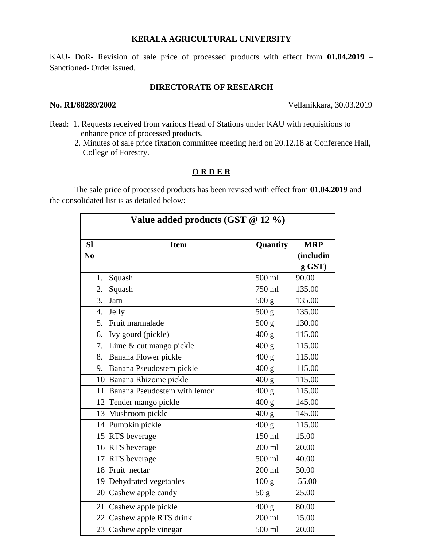#### **KERALA AGRICULTURAL UNIVERSITY**

KAU- DoR- Revision of sale price of processed products with effect from **01.04.2019** – Sanctioned- Order issued.

### **DIRECTORATE OF RESEARCH**

**No. R1/68289/2002** Vellanikkara, 30.03.2019

- Read: 1. Requests received from various Head of Stations under KAU with requisitions to enhance price of processed products.
	- 2. Minutes of sale price fixation committee meeting held on 20.12.18 at Conference Hall, College of Forestry.

## **O R D E R**

The sale price of processed products has been revised with effect from **01.04.2019** and the consolidated list is as detailed below:

| Value added products (GST @ 12 %) |                                 |                  |            |  |  |
|-----------------------------------|---------------------------------|------------------|------------|--|--|
| <b>SI</b>                         | <b>Item</b>                     | Quantity         | <b>MRP</b> |  |  |
| N <sub>0</sub>                    |                                 |                  | (includin  |  |  |
|                                   |                                 |                  | g GST)     |  |  |
| 1.                                | Squash                          | 500 ml           | 90.00      |  |  |
| 2.                                | Squash                          | 750 ml           | 135.00     |  |  |
| 3.                                | Jam                             | 500 g            | 135.00     |  |  |
| 4.                                | Jelly                           | 500 g            | 135.00     |  |  |
| 5.                                | Fruit marmalade                 | 500 g            | 130.00     |  |  |
| 6.                                | Ivy gourd (pickle)              | 400 g            | 115.00     |  |  |
| 7.                                | Lime & cut mango pickle         | 400 g            | 115.00     |  |  |
|                                   | 8. Banana Flower pickle         | 400 g            | 115.00     |  |  |
| 9.                                | Banana Pseudostem pickle        | 400 g            | 115.00     |  |  |
|                                   | 10 Banana Rhizome pickle        | 400 g            | 115.00     |  |  |
|                                   | 11 Banana Pseudostem with lemon | 400 g            | 115.00     |  |  |
|                                   | 12 Tender mango pickle          | 400 g            | 145.00     |  |  |
|                                   | 13 Mushroom pickle              | 400 g            | 145.00     |  |  |
|                                   | 14 Pumpkin pickle               | 400 g            | 115.00     |  |  |
|                                   | 15 RTS beverage                 | 150 ml           | 15.00      |  |  |
|                                   | 16 RTS beverage                 | $200$ ml         | 20.00      |  |  |
|                                   | 17 RTS beverage                 | 500 ml           | 40.00      |  |  |
|                                   | 18 Fruit nectar                 | 200 ml           | 30.00      |  |  |
|                                   | 19 Dehydrated vegetables        | 100 <sub>g</sub> | 55.00      |  |  |
|                                   | 20 Cashew apple candy           | 50 <sub>g</sub>  | 25.00      |  |  |
|                                   | 21 Cashew apple pickle          | 400 g            | 80.00      |  |  |
|                                   | 22 Cashew apple RTS drink       | 200 ml           | 15.00      |  |  |
|                                   | 23 Cashew apple vinegar         | 500 ml           | 20.00      |  |  |